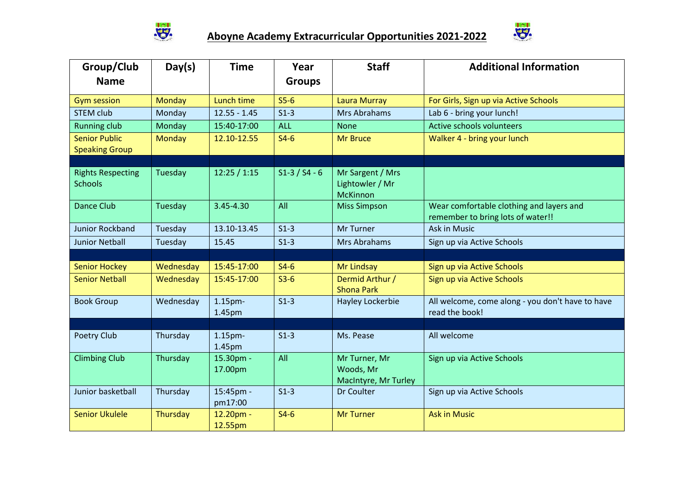



| Group/Club<br><b>Name</b>                     | Day(s)        | <b>Time</b>                              | Year<br><b>Groups</b> | <b>Staff</b>                                           | <b>Additional Information</b>                                                 |
|-----------------------------------------------|---------------|------------------------------------------|-----------------------|--------------------------------------------------------|-------------------------------------------------------------------------------|
|                                               |               |                                          |                       |                                                        |                                                                               |
| <b>Gym session</b>                            | Monday        | Lunch time                               | $S5-6$                | <b>Laura Murray</b>                                    | For Girls, Sign up via Active Schools                                         |
| <b>STEM club</b>                              | Monday        | $12.55 - 1.45$                           | $S1-3$                | Mrs Abrahams                                           | Lab 6 - bring your lunch!                                                     |
| <b>Running club</b>                           | Monday        | 15:40-17:00                              | <b>ALL</b>            | <b>None</b>                                            | Active schools volunteers                                                     |
| <b>Senior Public</b><br><b>Speaking Group</b> | <b>Monday</b> | 12.10-12.55                              | $S4-6$                | <b>Mr Bruce</b>                                        | Walker 4 - bring your lunch                                                   |
|                                               |               |                                          |                       |                                                        |                                                                               |
| <b>Rights Respecting</b><br><b>Schools</b>    | Tuesday       | 12:25/1:15                               | $S1-3 / S4 - 6$       | Mr Sargent / Mrs<br>Lightowler / Mr<br><b>McKinnon</b> |                                                                               |
| <b>Dance Club</b>                             | Tuesday       | 3.45-4.30                                | All                   | <b>Miss Simpson</b>                                    | Wear comfortable clothing and layers and<br>remember to bring lots of water!! |
| <b>Junior Rockband</b>                        | Tuesday       | 13.10-13.45                              | $S1-3$                | <b>Mr Turner</b>                                       | <b>Ask in Music</b>                                                           |
| <b>Junior Netball</b>                         | Tuesday       | 15.45                                    | $S1-3$                | Mrs Abrahams                                           | Sign up via Active Schools                                                    |
|                                               |               |                                          |                       |                                                        |                                                                               |
| <b>Senior Hockey</b>                          | Wednesday     | 15:45-17:00                              | $S4-6$                | Mr Lindsay                                             | Sign up via Active Schools                                                    |
| <b>Senior Netball</b>                         | Wednesday     | 15:45-17:00                              | $S3-6$                | Dermid Arthur /<br><b>Shona Park</b>                   | Sign up via Active Schools                                                    |
| <b>Book Group</b>                             | Wednesday     | $1.15pm-$<br>1.45pm                      | $S1-3$                | Hayley Lockerbie                                       | All welcome, come along - you don't have to have<br>read the book!            |
|                                               |               |                                          |                       |                                                        |                                                                               |
| Poetry Club                                   | Thursday      | 1.15 <sub>pm</sub><br>1.45 <sub>pm</sub> | $S1-3$                | Ms. Pease                                              | All welcome                                                                   |
| <b>Climbing Club</b>                          | Thursday      | 15.30pm -<br>17.00pm                     | All                   | Mr Turner, Mr<br>Woods, Mr<br>MacIntyre, Mr Turley     | Sign up via Active Schools                                                    |
| Junior basketball                             | Thursday      | 15:45pm -<br>pm17:00                     | $S1-3$                | Dr Coulter                                             | Sign up via Active Schools                                                    |
| <b>Senior Ukulele</b>                         | Thursday      | 12.20pm -<br>12.55pm                     | $S4-6$                | <b>Mr Turner</b>                                       | <b>Ask in Music</b>                                                           |